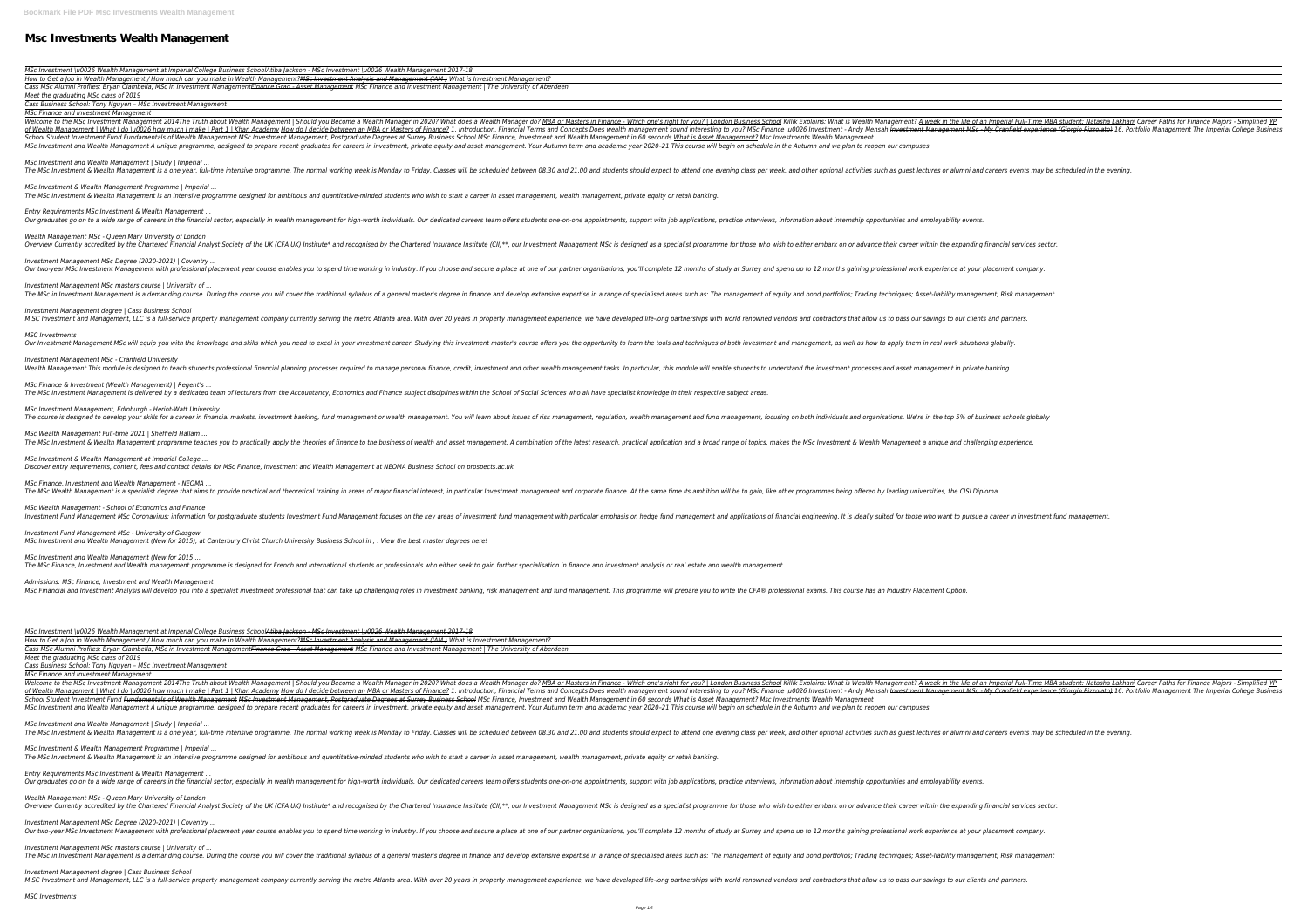## **Msc Investments Wealth Management**

*MSc Investment \u0026 Wealth Management at Imperial College Business SchoolAtiba Jackson - MSc Investment \u0026 Wealth Management 2017-18* How to Get a Job in Wealth Management / How much can you make in Wealth Management?<del>MSc Investment Analysis and Management (IAM )</del> What is Investm Cass MSc Alumni Profiles: Bryan Ciambella, MSc in Investment Management<del>Finance Grad - Asset Management</del> MSc Finance and Investment Management | The *Meet the graduating MSc class of 2019*

*Cass Business School: Tony Nguyen – MSc Investment Management*

*MSc Finance and Investment Management*

Welcome to the MSc Investment Management 2014The Truth about Wealth Management | Should you Become a Wealth Manager in 2020? What does a Wealth Management? <u>A week in the life of an Imperial Full-Time MBA student: Natasha </u> of Wealth Management | What I do \u0026 how much I make | Part 1 | Khan Academy How do I decide between an MBA or Masters of Finance? 1. Introduction, Finance? 1. Introduction, Finance? 1. Introduction, Financial Terms and School Student Investment Fund <del>Fundamentals of Wealth Management MSc Investment Management, Postgraduate Degrees at Surrey Business School MSc Finance, Investment and Wealth Management in 60 seconds What is Asset Manageme</del> MSc Investment and Wealth Management A unique programme, designed to prepare recent graduates for careers in investment, private equity and asset management. Your Autumn term and academic year 2020-21 This course will begi

*MSc Investment and Wealth Management | Study | Imperial ...* The MSc Investment & Wealth Management is a one year, full-time intensive programme. The normal working week is Monday to Friday. Classes will be scheduled between 08.30 and 21.00 and students should expect to attend one e

*MSc Investment & Wealth Management Programme | Imperial ...* The MSc Investment & Wealth Management is an intensive programme designed for ambitious and quantitative-minded students who wish to start a career in asset management, wealth management, private equity or retail banking.

*Investment Management MSc Degree (2020-2021) | Coventry ...* Our two-vear MSc Investment Management with professional placement vear course enables you to spend time working in industry. If you choose and secure a place at one of our partner organisations, you'll complete 12 months

*Investment Management MSc masters course | University of ...* The MSc in Investment Management is a demanding course. During the course you will cover the traditional syllabus of a general master's degree in finance and develop extensive expertise in a range of specialised areas such

*Investment Management degree | Cass Business School* M SC Investment and Management, LLC is a full-service property management company currently serving the metro Atlanta area. With over 20 years in property management experience, we have developed life-long partnerships wit

Our Investment Management MSc will equip you with the knowledge and skills which you need to excel in your investment career. Studying this investment master's course offers you the opportunity to learn the tools and techn *Investment Management MSc - Cranfield University*

Wealth Management This module is designed to teach students professional financial planning processes required to manage personal finance, credit, investment and other wealth management tasks. In particular, this module wi

*MSc Finance & Investment (Wealth Management) | Regent's ...* The MSc Investment Management is delivered by a dedicated team of lecturers from the Accountancy, Economics and Finance subject disciplines within the School of Social Sciences who all have specialist knowledge in their re

*Entry Requirements MSc Investment & Wealth Management ...*

Our graduates go on to a wide range of careers in the financial sector, especially in wealth management for high-worth individuals. Our dedicated careers team offers students one-on-one appointments, support with job appli *Wealth Management MSc - Queen Mary University of London* Overview Currently accredited by the Chartered Financial Analyst Society of the UK (CFA UK) Institute\* and recognised by the Chartered Insurance Institute (CII)\*\*, our Investment MSc is designed as a specialist programme f

*MSc Investment Management, Edinburgh - Heriot-Watt University* The course is designed to develop your skills for a career in financial markets, investment banking, fund management or wealth management. You will learn about issues of risk management, regulation, wealth management, focu

*MSc Wealth Management Full-time 2021 | Sheffield Hallam ...* The MSc Investment & Wealth Management programme teaches you to practically apply the theories of finance to the business of wealth and asset management. A combination and a broad range of topics, makes the MSc Investment

*MSc Finance, Investment and Wealth Management - NEOMA ...* The MSc Wealth Management is a specialist degree that aims to provide practical and theoretical and theoretical training in areas of major financial interest, in particular Investment and corporate finance. At the same tim

*MSc Wealth Management - School of Economics and Finance* Investment Fund Management MSc Coronavirus: information for postgraduate students Investment Fund Management focuses on the key areas of investment fund management with particular emphasis on hedge fund management and appl

*Admissions: MSc Finance, Investment and Wealth Management* MSc Financial and Investment Analysis will develop you into a specialist investment professional that can take up challenging roles in investment banking, risk management. This programme will prepare you to write the CFA®

*MSc Finance and Investment Management* Welcome to the MSc Investment Management 2014The Truth about Wealth Management | Should you Become a Wealth Manager in 2020? What does a Wealth Management? <u>A week in the life of an Imperial Full-Time MBA student: Natasha </u> of Wealth Management | What I do \u0026 how much I make | Part 1 | Khan Academy How do I decide between an MBA or Masters of Finance? 1. Introduction, Finance? 1. Introduction, Finance? 1. Introduction, Financial Terms and School Student Investment Fund <del>Fundamentals of Wealth Management MSc Investment Management, Postgraduate Degrees at Surrey Business School MSc Finance, Investment and Wealth Management in 60 seconds What is Asset Manageme</del> MSc Investment and Wealth Management A unique programme, designed to prepare recent graduates for careers in investment, private equity and asset management. Your Autumn term and academic year 2020-21 This course will begi

*MSC Investments*

*MSc Investment and Wealth Management | Study | Imperial ...* The MSc Investment & Wealth Management is a one year, full-time intensive programme. The normal working week is Monday to Friday. Classes will be scheduled between 08.30 and 21.00 and students should expect to attend one e

*MSc Investment & Wealth Management Programme | Imperial ...* The MSc Investment & Wealth Management is an intensive programme designed for ambitious and quantitative-minded students who wish to start a career in asset management, wealth management, private equity or retail banking.

*Entry Requirements MSc Investment & Wealth Management ...* Our graduates go on to a wide range of careers in the financial sector, especially in wealth management for high-worth individuals. Our dedicated careers team offers students one-on-one appointments, support with job appli

*Wealth Management MSc - Queen Mary University of London* Overview Currently accredited by the Chartered Financial Analyst Society of the UK (CFA UK) Institute\* and recognised by the Chartered Insurance Institute (CII)\*\*, our Investment Management MSc is designed as a specialist

*Investment Management MSc Degree (2020-2021) | Coventry ...* Our two-year MSc Investment Management with professional placement year course enables you to spend time working in industry. If you choose and secure a place at one of our partner organisations, you'll complete 12 months

*Investment Management MSc masters course | University of ...* The MSc in Investment Management is a demanding course. During the course you will cover the traditional syllabus of a general master's degree in finance and develop extensive expertise in a range of specialised areas such

*Investment Management degree | Cass Business School* M SC Investment and Management, LLC is a full-service property management company currently serving the metro Atlanta area. With over 20 years in property management experience, we have developed life-long partnerships wit

*MSc Investment & Wealth Management at Imperial College ... Discover entry requirements, content, fees and contact details for MSc Finance, Investment and Wealth Management at NEOMA Business School on prospects.ac.uk*

*Investment Fund Management MSc - University of Glasgow MSc Investment and Wealth Management (New for 2015), at Canterbury Christ Church University Business School in , . View the best master degrees here!*

*MSc Investment and Wealth Management (New for 2015 ...*

The MSc Finance, Investment and Wealth management programme is designed for French and international students or professionals who either seek to gain further specialisation in finance and investment analysis or real estat

*MSc Investment \u0026 Wealth Management at Imperial College Business SchoolAtiba Jackson - MSc Investment \u0026 Wealth Management 2017-18 How to Get a Job in Wealth Management / How much can you make in Wealth Management?MSc Investment Analysis and Management (IAM ) What is Investment Management?*  Cass MSc Alumni Profiles: Bryan Ciambella, MSc in Investment ManagementFinance Grad - Asset Management MSc Finance and Investment Management | The University of Aberdeen *Meet the graduating MSc class of 2019*

*Cass Business School: Tony Nguyen – MSc Investment Management*

| nent Management?              |  |
|-------------------------------|--|
| e University of<br>i Aberdeen |  |
|                               |  |